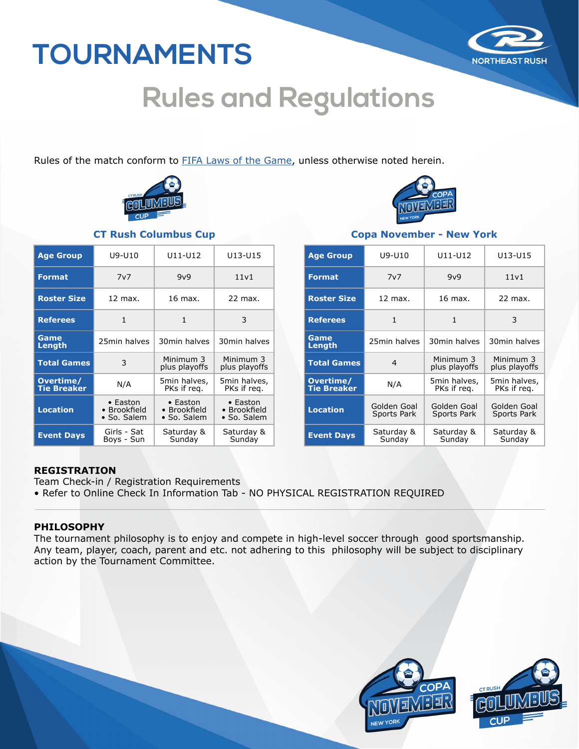

# **Rules and Regulations**

Rules of the match conform to **FIFA Laws of the Game**, unless otherwise noted herein.



| <b>Age Group</b>                | U9-U10                                  | U11-U12                                         | U13-U15                                         |
|---------------------------------|-----------------------------------------|-------------------------------------------------|-------------------------------------------------|
| <b>Format</b>                   | 7v7                                     | 9v9                                             | 11v1                                            |
| <b>Roster Size</b>              | 12 max.                                 | 16 max.                                         | 22 max.                                         |
| <b>Referees</b>                 | $\mathbf{1}$                            | 1                                               | 3                                               |
| Game<br>Length                  | 25min halves                            | 30min halves                                    | 30min halves                                    |
| <b>Total Games</b>              | 3                                       | Minimum 3<br>plus playoffs                      | Minimum 3<br>plus playoffs                      |
| Overtime/<br><b>Tie Breaker</b> | N/A                                     | 5min halves,<br>PKs if reg.                     | 5min halves,<br>PKs if reg.                     |
| <b>Location</b>                 | • Easton<br>• Brookfield<br>• So. Salem | $\bullet$ Easton<br>• Brookfield<br>• So. Salem | • Easton<br>• Brookfield<br>$\bullet$ So. Salem |
| <b>Event Days</b>               | Girls - Sat<br>Boys - Sun               | Saturday &<br>Sunday                            | Saturday &<br>Sunday                            |



#### **CT Rush Columbus Cup Copa November - New York**

| <b>Age Group</b>                | U9-U10                            | U11-U12                     | U13-U15                     |
|---------------------------------|-----------------------------------|-----------------------------|-----------------------------|
| <b>Format</b>                   | 7v7                               | 9v9                         | 11v1                        |
| <b>Roster Size</b>              | 12 max.                           | 16 max.                     | 22 max.                     |
| <b>Referees</b>                 | $\mathbf{1}$                      | 1                           | 3                           |
| Game<br>Length                  | 25min halves                      | 30min halves                | 30min halves                |
| <b>Total Games</b>              | $\overline{4}$                    | Minimum 3<br>plus playoffs  | Minimum 3<br>plus playoffs  |
| Overtime/<br><b>Tie Breaker</b> | N/A                               | 5min halves,<br>PKs if req. | 5min halves,<br>PKs if reg. |
| <b>Location</b>                 | Golden Goal<br><b>Sports Park</b> | Golden Goal<br>Sports Park  | Golden Goal<br>Sports Park  |
| <b>Event Days</b>               | Saturday &<br>Sunday              | Saturday &<br>Sunday        | Saturday &<br>Sunday        |

#### **REGISTRATION**

Team Check-in / Registration Requirements • Refer to Online Check In Information Tab - NO PHYSICAL REGISTRATION REQUIRED

### **PHILOSOPHY**

The tournament philosophy is to enjoy and compete in high-level soccer through good sportsmanship. Any team, player, coach, parent and etc. not adhering to this philosophy will be subject to disciplinary action by the Tournament Committee.

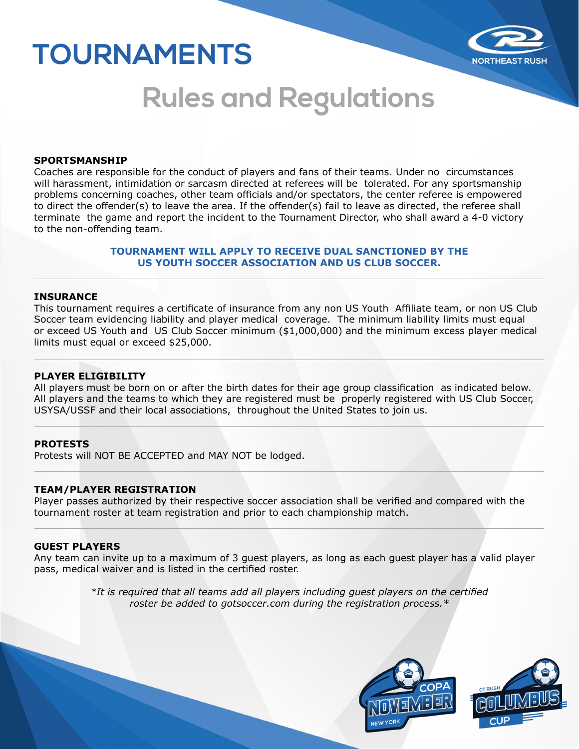

# **Rules and Regulations**

#### **SPORTSMANSHIP**

Coaches are responsible for the conduct of players and fans of their teams. Under no circumstances will harassment, intimidation or sarcasm directed at referees will be tolerated. For any sportsmanship problems concerning coaches, other team officials and/or spectators, the center referee is empowered to direct the offender(s) to leave the area. If the offender(s) fail to leave as directed, the referee shall terminate the game and report the incident to the Tournament Director, who shall award a 4-0 victory to the non-offending team.

#### **TOURNAMENT WILL APPLY TO RECEIVE DUAL SANCTIONED BY THE US YOUTH SOCCER ASSOCIATION AND US CLUB SOCCER.**

#### **INSURANCE**

This tournament requires a certificate of insurance from any non US Youth Affiliate team, or non US Club Soccer team evidencing liability and player medical coverage. The minimum liability limits must equal or exceed US Youth and US Club Soccer minimum (\$1,000,000) and the minimum excess player medical limits must equal or exceed \$25,000.

#### **PLAYER ELIGIBILITY**

All players must be born on or after the birth dates for their age group classification as indicated below. All players and the teams to which they are registered must be properly registered with US Club Soccer, USYSA/USSF and their local associations, throughout the United States to join us.

#### **PROTESTS**

Protests will NOT BE ACCEPTED and MAY NOT be lodged.

#### **TEAM/PLAYER REGISTRATION**

Player passes authorized by their respective soccer association shall be verified and compared with the tournament roster at team registration and prior to each championship match.

#### **GUEST PLAYERS**

Any team can invite up to a maximum of 3 guest players, as long as each guest player has a valid player pass, medical waiver and is listed in the certified roster.

> *\*It is required that all teams add all players including guest players on the certified roster be added to gotsoccer.com during the registration process.\**

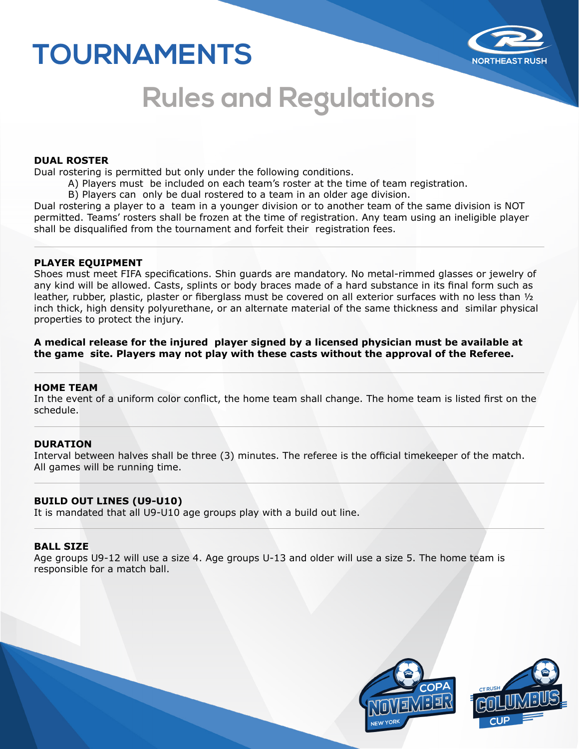

## **Rules and Regulations**

#### **DUAL ROSTER**

Dual rostering is permitted but only under the following conditions.

- A) Players must be included on each team's roster at the time of team registration.
- B) Players can only be dual rostered to a team in an older age division.

Dual rostering a player to a team in a younger division or to another team of the same division is NOT permitted. Teams' rosters shall be frozen at the time of registration. Any team using an ineligible player shall be disqualified from the tournament and forfeit their registration fees.

#### **PLAYER EQUIPMENT**

Shoes must meet FIFA specifications. Shin guards are mandatory. No metal-rimmed glasses or jewelry of any kind will be allowed. Casts, splints or body braces made of a hard substance in its final form such as leather, rubber, plastic, plaster or fiberglass must be covered on all exterior surfaces with no less than ½ inch thick, high density polyurethane, or an alternate material of the same thickness and similar physical properties to protect the injury.

**A medical release for the injured player signed by a licensed physician must be available at the game site. Players may not play with these casts without the approval of the Referee.**

#### **HOME TEAM**

In the event of a uniform color conflict, the home team shall change. The home team is listed first on the schedule.

#### **DURATION**

Interval between halves shall be three (3) minutes. The referee is the official timekeeper of the match. All games will be running time.

#### **BUILD OUT LINES (U9-U10)**

It is mandated that all U9-U10 age groups play with a build out line.

#### **BALL SIZE**

Age groups U9-12 will use a size 4. Age groups U-13 and older will use a size 5. The home team is responsible for a match ball.

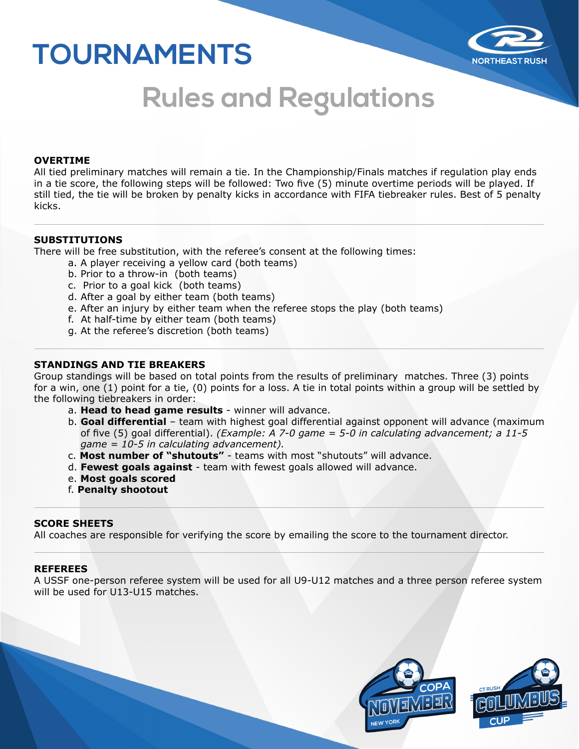

# **Rules and Regulations**

#### **OVERTIME**

All tied preliminary matches will remain a tie. In the Championship/Finals matches if regulation play ends in a tie score, the following steps will be followed: Two five (5) minute overtime periods will be played. If still tied, the tie will be broken by penalty kicks in accordance with FIFA tiebreaker rules. Best of 5 penalty kicks.

#### **SUBSTITUTIONS**

There will be free substitution, with the referee's consent at the following times:

- a. A player receiving a yellow card (both teams)
- b. Prior to a throw-in (both teams)
- c. Prior to a goal kick (both teams)
- d. After a goal by either team (both teams)
- e. After an injury by either team when the referee stops the play (both teams)
- f. At half-time by either team (both teams)
- g. At the referee's discretion (both teams)

### **STANDINGS AND TIE BREAKERS**

Group standings will be based on total points from the results of preliminary matches. Three (3) points for a win, one (1) point for a tie, (0) points for a loss. A tie in total points within a group will be settled by the following tiebreakers in order:

- a. **Head to head game results** winner will advance.
- b. **Goal differential** team with highest goal differential against opponent will advance (maximum of five (5) goal differential). *(Example: A 7-0 game = 5-0 in calculating advancement; a 11-5 game = 10-5 in calculating advancement).*
- c. **Most number of "shutouts"** teams with most "shutouts" will advance.
- d. **Fewest goals against** team with fewest goals allowed will advance.
- e. **Most goals scored**
- f. **Penalty shootout**

#### **SCORE SHEETS**

All coaches are responsible for verifying the score by emailing the score to the tournament director.

#### **REFEREES**

A USSF one-person referee system will be used for all U9-U12 matches and a three person referee system will be used for U13-U15 matches.

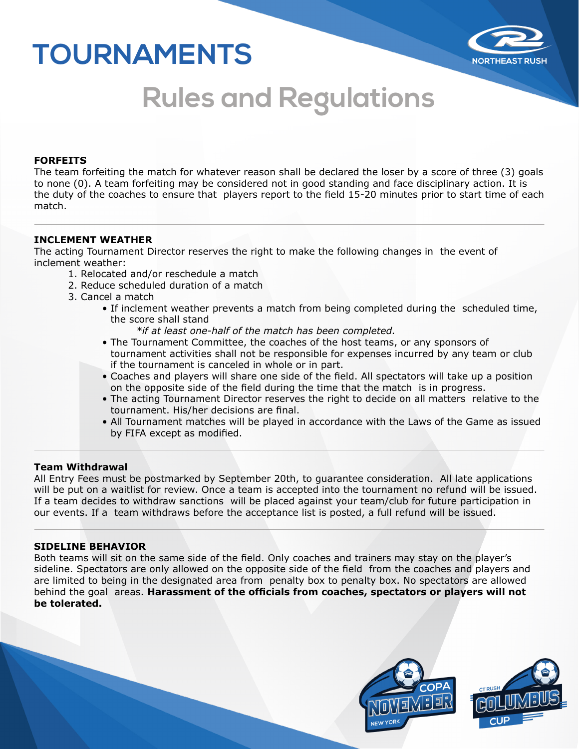

# **Rules and Regulations**

#### **FORFEITS**

The team forfeiting the match for whatever reason shall be declared the loser by a score of three (3) goals to none (0). A team forfeiting may be considered not in good standing and face disciplinary action. It is the duty of the coaches to ensure that players report to the field 15-20 minutes prior to start time of each match.

#### **INCLEMENT WEATHER**

The acting Tournament Director reserves the right to make the following changes in the event of inclement weather:

- 1. Relocated and/or reschedule a match
- 2. Reduce scheduled duration of a match
- 3. Cancel a match
	- If inclement weather prevents a match from being completed during the scheduled time, the score shall stand
		- *\*if at least one-half of the match has been completed.*
	- The Tournament Committee, the coaches of the host teams, or any sponsors of tournament activities shall not be responsible for expenses incurred by any team or club if the tournament is canceled in whole or in part.
	- Coaches and players will share one side of the field. All spectators will take up a position on the opposite side of the field during the time that the match is in progress.
	- The acting Tournament Director reserves the right to decide on all matters relative to the tournament. His/her decisions are final.
	- All Tournament matches will be played in accordance with the Laws of the Game as issued by FIFA except as modified.

#### **Team Withdrawal**

All Entry Fees must be postmarked by September 20th, to guarantee consideration. All late applications will be put on a waitlist for review. Once a team is accepted into the tournament no refund will be issued. If a team decides to withdraw sanctions will be placed against your team/club for future participation in our events. If a team withdraws before the acceptance list is posted, a full refund will be issued.

#### **SIDELINE BEHAVIOR**

Both teams will sit on the same side of the field. Only coaches and trainers may stay on the player's sideline. Spectators are only allowed on the opposite side of the field from the coaches and players and are limited to being in the designated area from penalty box to penalty box. No spectators are allowed behind the goal areas. **Harassment of the officials from coaches, spectators or players will not be tolerated.**